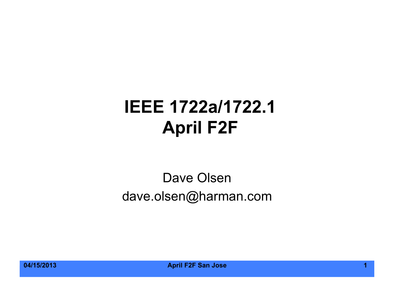#### **IEEE 1722a/1722.1 April F2F**

#### Dave Olsen dave.olsen@harman.com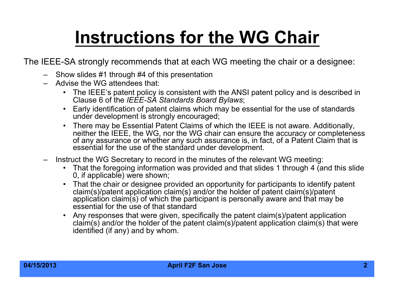# **Instructions for the WG Chair**

The IEEE-SA strongly recommends that at each WG meeting the chair or a designee:

- Show slides #1 through #4 of this presentation
- Advise the WG attendees that:
	- The IEEE's patent policy is consistent with the ANSI patent policy and is described in Clause 6 of the *IEEE-SA Standards Board Bylaws*;
	- Early identification of patent claims which may be essential for the use of standards under development is strongly encouraged:
	- There may be Essential Patent Claims of which the IEEE is not aware. Additionally, neither the IEEE, the WG, nor the WG chair can ensure the accuracy or completeness of any assurance or whether any such assurance is, in fact, of a Patent Claim that is essential for the use of the standard under development.
- Instruct the WG Secretary to record in the minutes of the relevant WG meeting:
	- That the foregoing information was provided and that slides 1 through 4 (and this slide 0, if applicable) were shown;
	- That the chair or designee provided an opportunity for participants to identify patent claim(s)/patent application claim(s) and/or the holder of patent claim(s)/patent application claim(s) of which the participant is personally aware and that may be essential for the use of that standard
	- Any responses that were given, specifically the patent claim(s)/patent application claim(s) and/or the holder of the patent claim(s)/patent application claim(s) that were identified (if any) and by whom.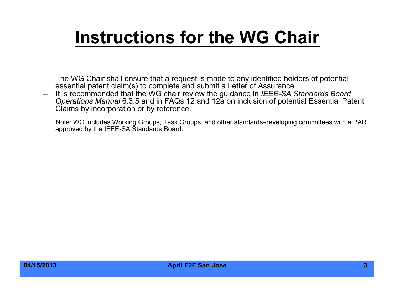#### **Instructions for the WG Chair**

- The WG Chair shall ensure that a request is made to any identified holders of potential essential patent claim(s) to complete and submit a Letter of Assurance.
- It is recommended that the WG chair review the guidance in *IEEE-SA Standards Board Operations Manual* 6.3.5 and in FAQs 12 and 12a on inclusion of potential Essential Patent Claims by incorporation or by reference.

Note: WG includes Working Groups, Task Groups, and other standards-developing committees with a PAR approved by the IEEE-SA Standards Board.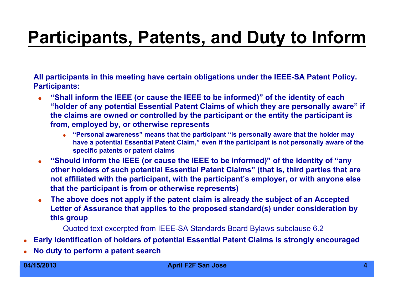#### **Participants, Patents, and Duty to Inform**

**All participants in this meeting have certain obligations under the IEEE-SA Patent Policy. Participants:** 

- **"Shall inform the IEEE (or cause the IEEE to be informed)" of the identity of each "holder of any potential Essential Patent Claims of which they are personally aware" if the claims are owned or controlled by the participant or the entity the participant is from, employed by, or otherwise represents** 
	- **"Personal awareness" means that the participant "is personally aware that the holder may have a potential Essential Patent Claim," even if the participant is not personally aware of the specific patents or patent claims**
- **"Should inform the IEEE (or cause the IEEE to be informed)" of the identity of "any other holders of such potential Essential Patent Claims" (that is, third parties that are not affiliated with the participant, with the participant's employer, or with anyone else that the participant is from or otherwise represents)**
- **The above does not apply if the patent claim is already the subject of an Accepted Letter of Assurance that applies to the proposed standard(s) under consideration by this group**

Quoted text excerpted from IEEE-SA Standards Board Bylaws subclause 6.2

- **Early identification of holders of potential Essential Patent Claims is strongly encouraged**
- **No duty to perform a patent search**

#### **04/15/2013 April F2F San Jose 4**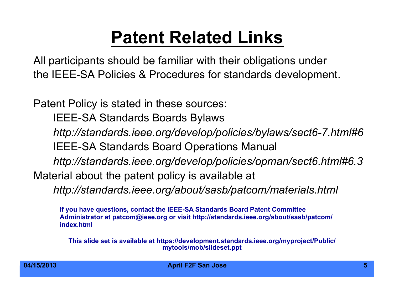#### **Patent Related Links**

All participants should be familiar with their obligations under the IEEE-SA Policies & Procedures for standards development.

Patent Policy is stated in these sources:

IEEE-SA Standards Boards Bylaws

*http://standards.ieee.org/develop/policies/bylaws/sect6-7.html#6* 

IEEE-SA Standards Board Operations Manual

*http://standards.ieee.org/develop/policies/opman/sect6.html#6.3*

Material about the patent policy is available at

*http://standards.ieee.org/about/sasb/patcom/materials.html* 

**If you have questions, contact the IEEE-SA Standards Board Patent Committee Administrator at patcom@ieee.org or visit http://standards.ieee.org/about/sasb/patcom/ index.html** 

**This slide set is available at https://development.standards.ieee.org/myproject/Public/ mytools/mob/slideset.ppt**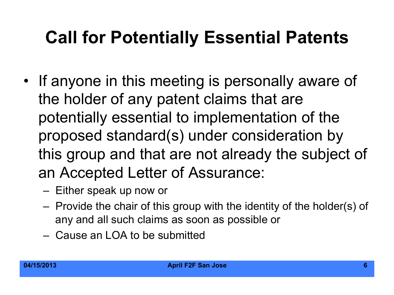#### **Call for Potentially Essential Patents**

- If anyone in this meeting is personally aware of the holder of any patent claims that are potentially essential to implementation of the proposed standard(s) under consideration by this group and that are not already the subject of an Accepted Letter of Assurance:
	- Either speak up now or
	- Provide the chair of this group with the identity of the holder(s) of any and all such claims as soon as possible or
	- Cause an LOA to be submitted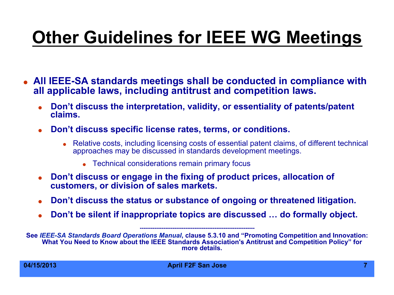# **Other Guidelines for IEEE WG Meetings**

- **All IEEE-SA standards meetings shall be conducted in compliance with all applicable laws, including antitrust and competition laws.** 
	- **Don't discuss the interpretation, validity, or essentiality of patents/patent claims.**
	- **Don't discuss specific license rates, terms, or conditions.** 
		- Relative costs, including licensing costs of essential patent claims, of different technical approaches may be discussed in standards development meetings.
			- Technical considerations remain primary focus
	- **Don't discuss or engage in the fixing of product prices, allocation of customers, or division of sales markets.**
	- **Don't discuss the status or substance of ongoing or threatened litigation.**
	- **Don't be silent if inappropriate topics are discussed … do formally object.**

**---------------------------------------------------------------** 

**See** *IEEE-SA Standards Board Operations Manual***, clause 5.3.10 and "Promoting Competition and Innovation: What You Need to Know about the IEEE Standards Association's Antitrust and Competition Policy" for more details.**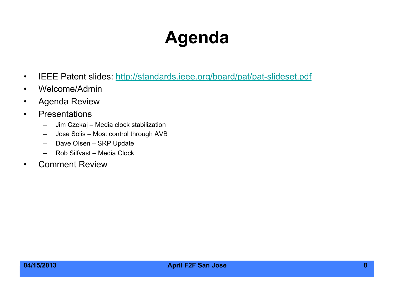### **Agenda**

- IEEE Patent slides: http://standards.ieee.org/board/pat/pat-slideset.pdf
- Welcome/Admin
- Agenda Review
- Presentations
	- Jim Czekaj Media clock stabilization
	- Jose Solis Most control through AVB
	- Dave OIsen SRP Update
	- Rob Silfvast Media Clock
- Comment Review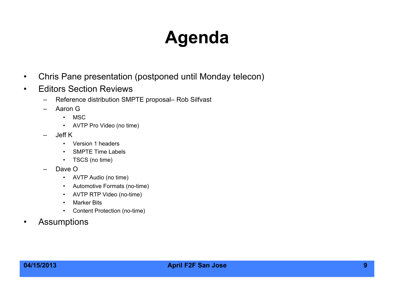### **Agenda**

- Chris Pane presentation (postponed until Monday telecon)
- Editors Section Reviews
	- Reference distribution SMPTE proposal– Rob Silfvast
	- Aaron G
		- MSC
		- AVTP Pro Video (no time)
	- Jeff K
		- Version 1 headers
		- SMPTE Time Labels
		- TSCS (no time)
	- Dave O
		- AVTP Audio (no time)
		- Automotive Formats (no-time)
		- AVTP RTP Video (no-time)
		- Marker Bits
		- Content Protection (no-time)
- Assumptions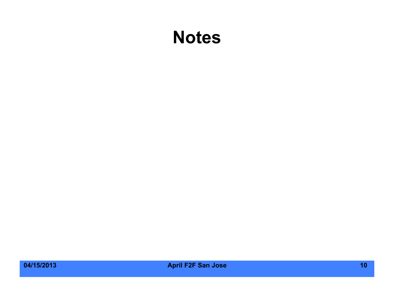#### **Notes**